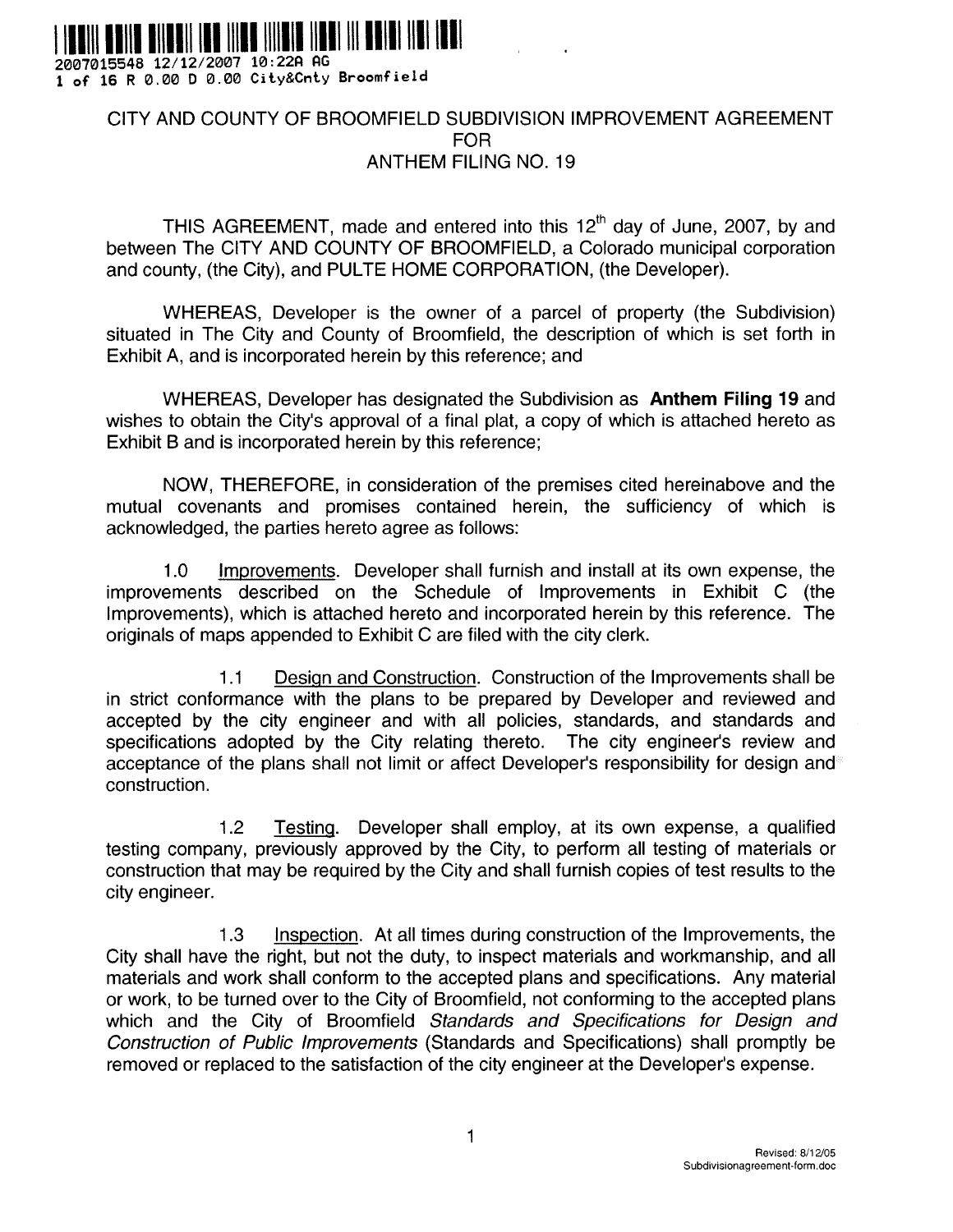

**2007015548 12/12/2007 10 :22P PG 1 of 16 R 0 .00 D 0 .00 City&Cnty Broomfiel d**

# CITY AND COUNTY OF BROOMFIELD SUBDIVISION IMPROVEMENT AGREEMENT FOR ANTHEM FILING NO. 19

THIS AGREEMENT, made and entered into this  $12<sup>th</sup>$  day of June, 2007, by and between The CITY AND COUNTY OF BROOMFIELD, a Colorado municipal corporation and county, (the City), and PULTE HOME CORPORATION, (the Developer).

WHEREAS, Developer is the owner of a parcel of property (the Subdivision) situated in The City and County of Broomfield, the description of which is set forth in Exhibit A, and is incorporated herein by this reference; and

WHEREAS, Developer has designated the Subdivision as **Anthem Filing 19** and wishes to obtain the City's approval of a final plat, a copy of which is attached hereto as Exhibit B and is incorporated herein by this reference ;

NOW, THEREFORE, in consideration of the premises cited hereinabove and the mutual covenants and promises contained herein, the sufficiency of which is acknowledged, the parties hereto agree as follows:

1.0 Improvements. Developer shall furnish and install at its own expense, the improvements described on the Schedule of Improvements in Exhibit C (the Improvements), which is attached hereto and incorporated herein by this reference. The originals of maps appended to Exhibit C are filed with the city clerk.

1.1 Design and Construction. Construction of the Improvements shall be in strict conformance with the plans to be prepared by Developer and reviewed and accepted by the city engineer and with all policies, standards, and standards and specifications adopted by the City relating thereto. The city engineer's review and acceptance of the plans shall not limit or affect Developer's responsibility for design and construction.

<sup>1</sup> .2 Testing. Developer shall employ, at its own expense, a qualified testing company, previously approved by the City, to perform all testing of materials or construction that may be required by the City and shall furnish copies of test results to the city engineer.

1.3 Inspection. At all times during construction of the Improvements, the City shall have the right, but not the duty, to inspect materials and workmanship, and all materials and work shall conform to the accepted plans and specifications. Any material or work, to be turned over to the City of Broomfield, not conforming to the accepted plans which and the City of Broomfield Standards and Specifications for Design and Construction of Public Improvements (Standards and Specifications) shall promptly be removed or replaced to the satisfaction of the city engineer at the Developer's expense .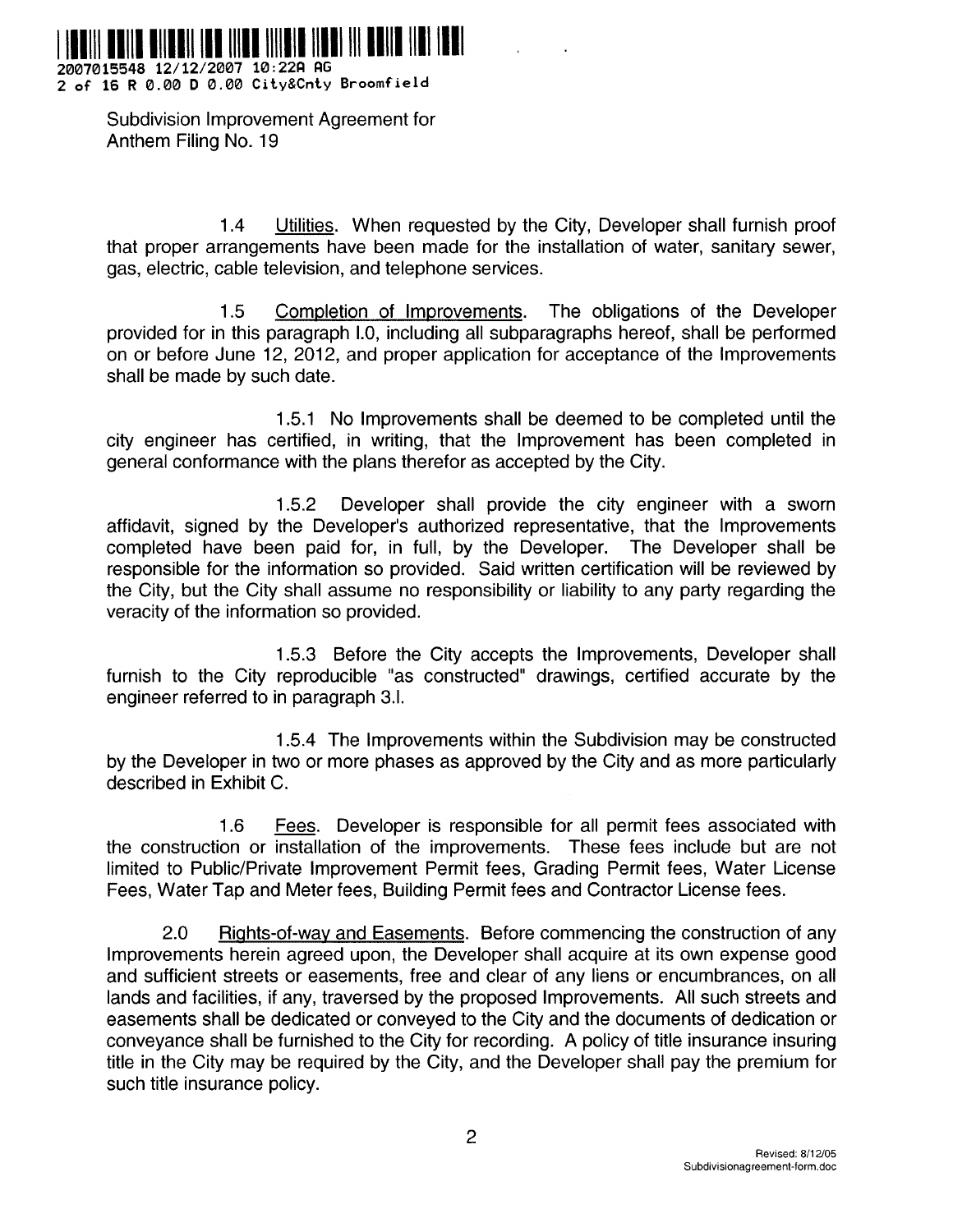

**2007015548 12/12/2007 10 :22fl P G 2 of 16 R 0 .00 D 0 .00 City&Cnty Broomfiel d**

> Subdivision Improvement Agreement for Anthem Filing No. 19

<sup>1</sup> .4 Utilities. When requested by the City, Developer shall furnish proof that proper arrangements have been made for the installation of water, sanitary sewer, gas, electric, cable television, and telephone services .

1.5 Completion of Improvements. The obligations of the Developer provided for in this paragraph I.0, including all subparagraphs hereof, shall be performed on or before June 12, 2012, and proper application for acceptance of the Improvements shall be made by such date.

<sup>1</sup> .5 .1 No Improvements shall be deemed to be completed until the city engineer has certified, in writing, that the Improvement has been completed in general conformance with the plans therefor as accepted by the City .

<sup>1</sup> .5.2 Developer shall provide the city engineer with a sworn affidavit, signed by the Developer's authorized representative, that the Improvements completed have been paid for, in full, by the Developer. The Developer shall be responsible for the information so provided. Said written certification will be reviewed by the City, but the City shall assume no responsibility or liability to any party regarding the veracity of the information so provided .

<sup>1</sup> .5.3 Before the City accepts the Improvements, Developer shall furnish to the City reproducible "as constructed" drawings, certified accurate by the engineer referred to in paragraph 3.l.

<sup>1</sup> .5.4 The Improvements within the Subdivision may be constructed by the Developer in two or more phases as approved by the City and as more particularly described in Exhibit C.

<sup>1</sup> .6 Fees. Developer is responsible for all permit fees associated with the construction or installation of the improvements. These fees include but are not limited to Public/Private Improvement Permit fees, Grading Permit fees, Water License Fees, Water Tap and Meter fees, Building Permit fees and Contractor License fees .

2.0 Rights-of-way and Easements. Before commencing the construction of any Improvements herein agreed upon, the Developer shall acquire at its own expense good and sufficient streets or easements, free and clear of any liens or encumbrances, on all lands and facilities, if any, traversed by the proposed Improvements. All such streets and easements shall be dedicated or conveyed to the City and the documents of dedication or conveyance shall be furnished to the City for recording. A policy of title insurance insuring title in the City may be required by the City, and the Developer shall pay the premium for such title insurance policy.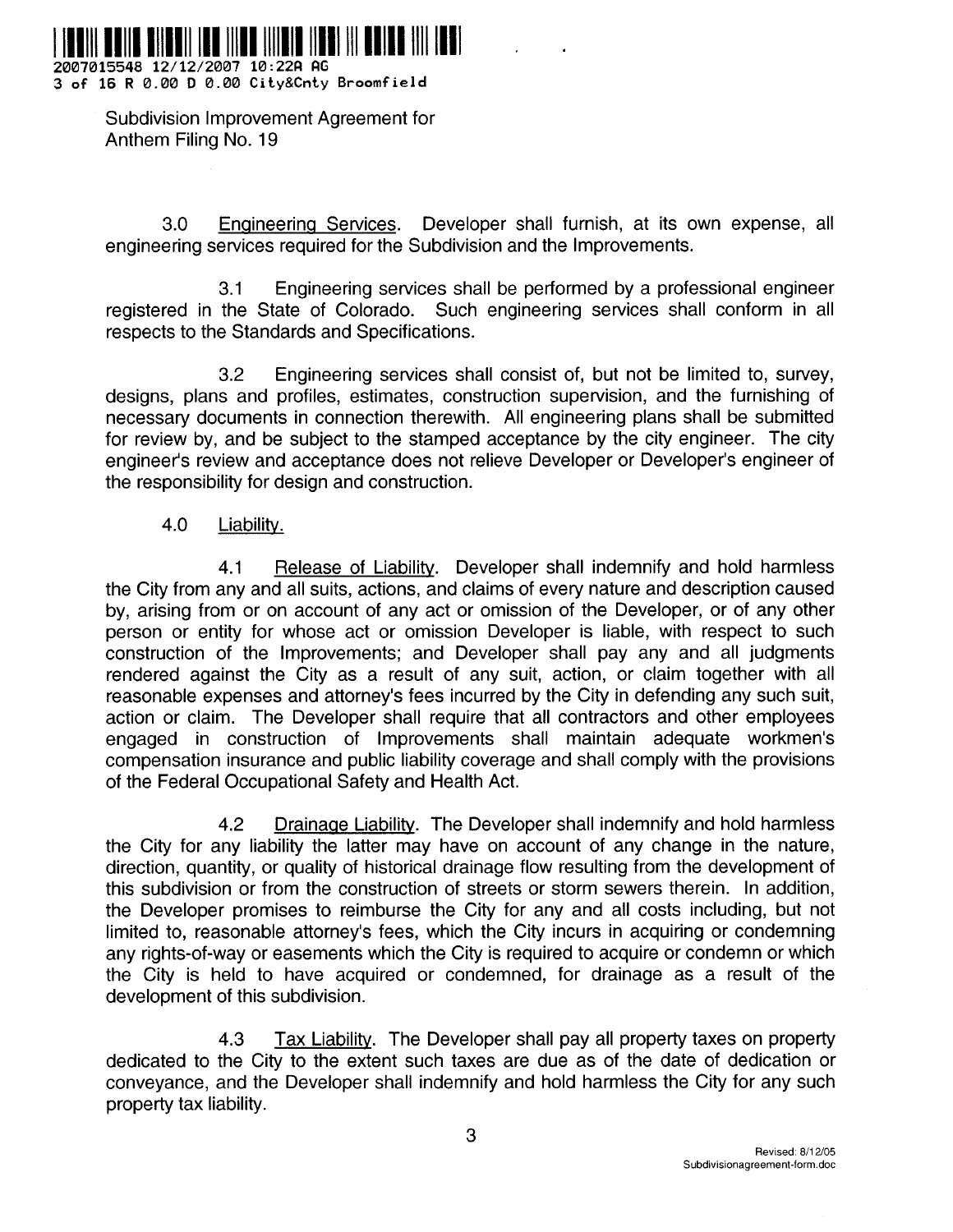

**2007015548 12/12/2007 10 :22P AG 3 of 16 R 0 .00 D 0 .00 City&Cnty Broomfield**

> Subdivision Improvement Agreement for Anthem Filing No. 19

3.0 Engineering Services. Developer shall furnish, at its own expense, all engineering services required for the Subdivision and the Improvements .

3.1 Engineering services shall be performed by a professional engineer registered in the State of Colorado. Such engineering services shall conform in all respects to the Standards and Specifications .

3.2 Engineering services shall consist of, but not be limited to, survey, designs, plans and profiles, estimates, construction supervision, and the furnishing of necessary documents in connection therewith. All engineering plans shall be submitted for review by, and be subject to the stamped acceptance by the city engineer. The city engineer's review and acceptance does not relieve Developer or Developer's engineer of the responsibility for design and construction.

4.0 Liability.

4.1 Release of Liability. Developer shall indemnify and hold harmless the City from any and all suits, actions, and claims of every nature and description caused by, arising from or on account of any act or omission of the Developer, or of any other person or entity for whose act or omission Developer is liable, with respect to such construction of the Improvements; and Developer shall pay any and all judgments rendered against the City as a result of any suit, action, or claim together with all reasonable expenses and attorney's fees incurred by the City in defending any such suit, action or claim. The Developer shall require that all contractors and other employees engaged in construction of Improvements shall maintain adequate workmen's compensation insurance and public liability coverage and shall comply with the provisions of the Federal Occupational Safety and Health Act.

4.2 Drainage Liability. The Developer shall indemnify and hold harmless the City for any liability the latter may have on account of any change in the nature, direction, quantity, or quality of historical drainage flow resulting from the development of this subdivision or from the construction of streets or storm sewers therein. In addition, the Developer promises to reimburse the City for any and all costs including, but not limited to, reasonable attorney's fees, which the City incurs in acquiring or condemning any rights-of-way or easements which the City is required to acquire or condemn or which the City is held to have acquired or condemned, for drainage as a result of the development of this subdivision.

4.3 Tax Liability. The Developer shall pay all property taxes on property dedicated to the City to the extent such taxes are due as of the date of dedication or conveyance, and the Developer shall indemnify and hold harmless the City for any such property tax liability .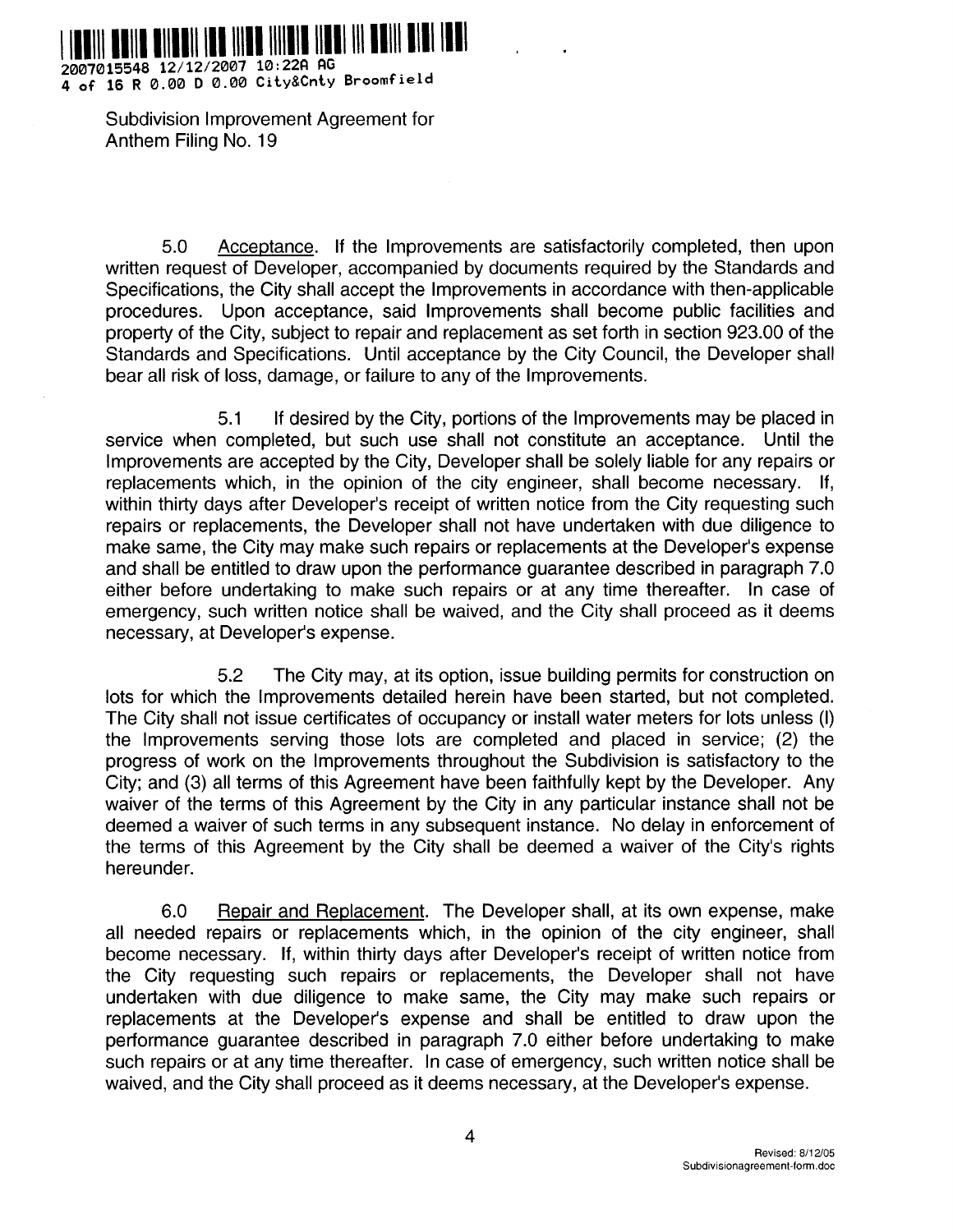

**2007015548 12/12/2007 10 :22P G 4 of 16 R 0 .00 D 0 .00 City&Cnty Broomfiel <sup>d</sup>**

> Subdivision Improvement Agreement for Anthem Filing No. 19

5 .0 Acceptance . If the Improvements are satisfactorily completed, then upon written request of Developer, accompanied by documents required by the Standards and Specifications, the City shall accept the Improvements in accordance with then-applicable procedures. Upon acceptance, said Improvements shall become public facilities and property of the City, subject to repair and replacement as set forth in section 923 .00 of the Standards and Specifications. Until acceptance by the City Council, the Developer shall bear all risk of loss, damage, or failure to any of the Improvements.

5 .1 If desired by the City, portions of the Improvements may be placed in service when completed, but such use shall not constitute an acceptance. Until the Improvements are accepted by the City, Developer shall be solely liable for any repairs or replacements which, in the opinion of the city engineer, shall become necessary. If, within thirty days after Developer's receipt of written notice from the City requesting such repairs or replacements, the Developer shall not have undertaken with due diligence to make same, the City may make such repairs or replacements at the Developer's expense and shall be entitled to draw upon the performance guarantee described in paragraph 7 .0 either before undertaking to make such repairs or at any time thereafter. In case of emergency, such written notice shall be waived, and the City shall proceed as it deems necessary, at Developer's expense .

5 .2 The City may, at its option, issue building permits for construction on lots for which the Improvements detailed herein have been started, but not completed. The City shall not issue certificates of occupancy or install water meters for lots unless (I) the Improvements serving those lots are completed and placed in service; (2) the progress of work on the Improvements throughout the Subdivision is satisfactory to the City; and (3) all terms of this Agreement have been faithfully kept by the Developer . Any waiver of the terms of this Agreement by the City in any particular instance shall not be deemed a waiver of such terms in any subsequent instance. No delay in enforcement of the terms of this Agreement by the City shall be deemed a waiver of the City's rights hereunder.

6.0 Repair and Replacement. The Developer shall, at its own expense, make all needed repairs or replacements which, in the opinion of the city engineer, shall become necessary. If, within thirty days after Developer's receipt of written notice from the City requesting such repairs or replacements, the Developer shall not have undertaken with due diligence to make same, the City may make such repairs or replacements at the Developer's expense and shall be entitled to draw upon the performance guarantee described in paragraph 7 .0 either before undertaking to make such repairs or at any time thereafter. In case of emergency, such written notice shall be waived, and the City shall proceed as it deems necessary, at the Developer's expense.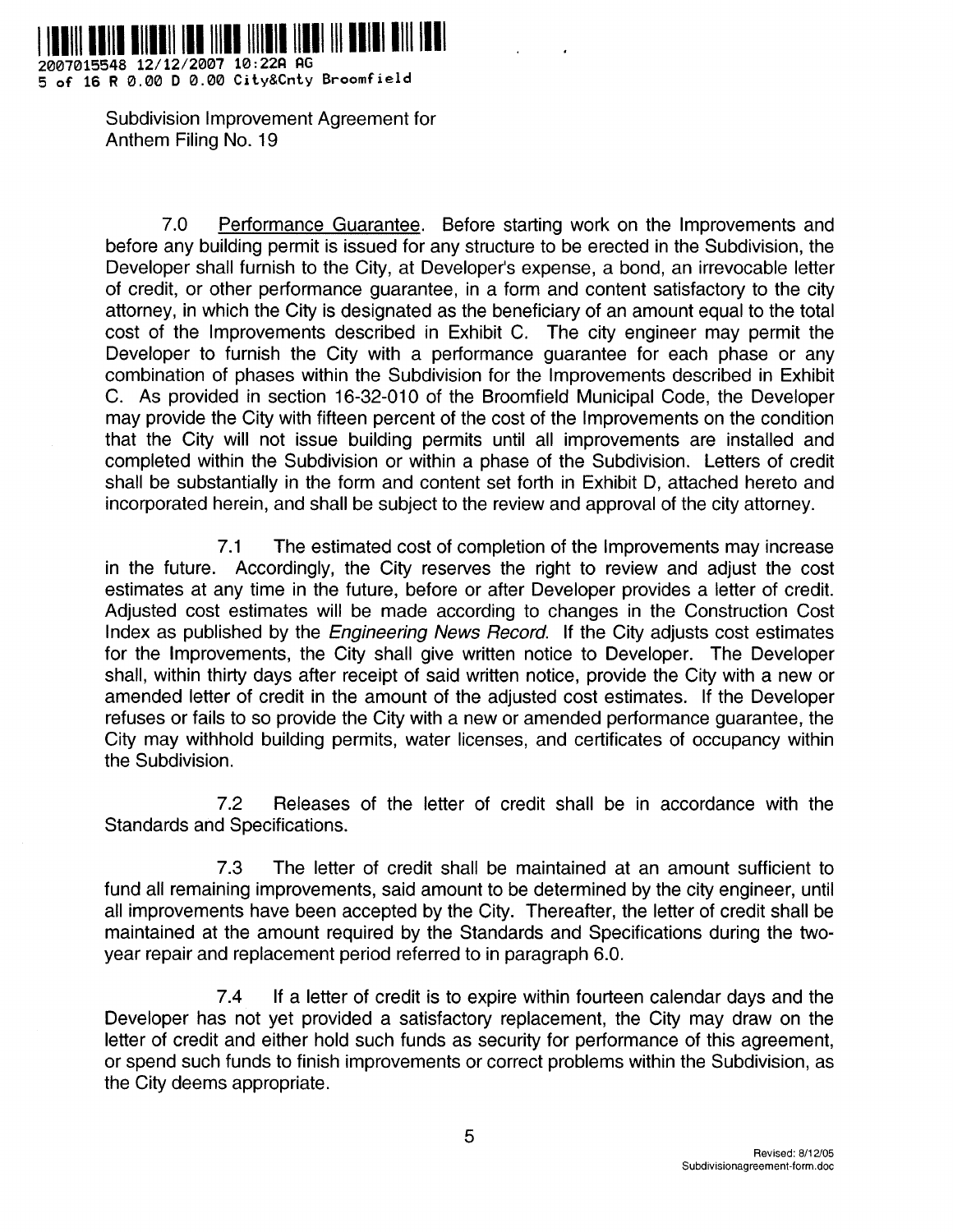

**2007015548 12/12/2007 10 :22A AG** 5 **of 16 R 0 .00 D 0 .00 City&Cnty Broomfiel d**

> Subdivision Improvement Agreement for Anthem Filing No. 19

7.0 Performance Guarantee. Before starting work on the Improvements and before any building permit is issued for any structure to be erected in the Subdivision, the Developer shall furnish to the City, at Developer's expense, a bond, an irrevocable letter of credit, or other performance guarantee, in a form and content satisfactory to the city attorney, in which the City is designated as the beneficiary of an amount equal to the total cost of the Improvements described in Exhibit C. The city engineer may permit the Developer to furnish the City with a performance guarantee for each phase or any combination of phases within the Subdivision for the Improvements described in Exhibit C . As provided in section 16-32-010 of the Broomfield Municipal Code, the Developer may provide the City with fifteen percent of the cost of the Improvements on the condition that the City will not issue building permits until all improvements are installed and completed within the Subdivision or within a phase of the Subdivision. Letters of credit shall be substantially in the form and content set forth in Exhibit D, attached hereto and incorporated herein, and shall be subject to the review and approval of the city attorney .

7 .1 The estimated cost of completion of the Improvements may increase in the future. Accordingly, the City reserves the right to review and adjust the cost estimates at any time in the future, before or after Developer provides a letter of credit. Adjusted cost estimates will be made according to changes in the Construction Cost Index as published by the *Engineering News Record*. If the City adjusts cost estimates for the Improvements, the City shall give written notice to Developer. The Developer shall, within thirty days after receipt of said written notice, provide the City with a new or amended letter of credit in the amount of the adjusted cost estimates. If the Developer refuses or fails to so provide the City with a new or amended performance guarantee, the City may withhold building permits, water licenses, and certificates of occupancy within the Subdivision.

7.2 Releases of the letter of credit shall be in accordance with the Standards and Specifications.

7.3 The letter of credit shall be maintained at an amount sufficient to fund all remaining improvements, said amount to be determined by the city engineer, until all improvements have been accepted by the City. Thereafter, the letter of credit shall be maintained at the amount required by the Standards and Specifications during the twoyear repair and replacement period referred to in paragraph 6.0.

7.4 If a letter of credit is to expire within fourteen calendar days and the Developer has not yet provided a satisfactory replacement, the City may draw on the letter of credit and either hold such funds as security for performance of this agreement, or spend such funds to finish improvements or correct problems within the Subdivision, as the City deems appropriate .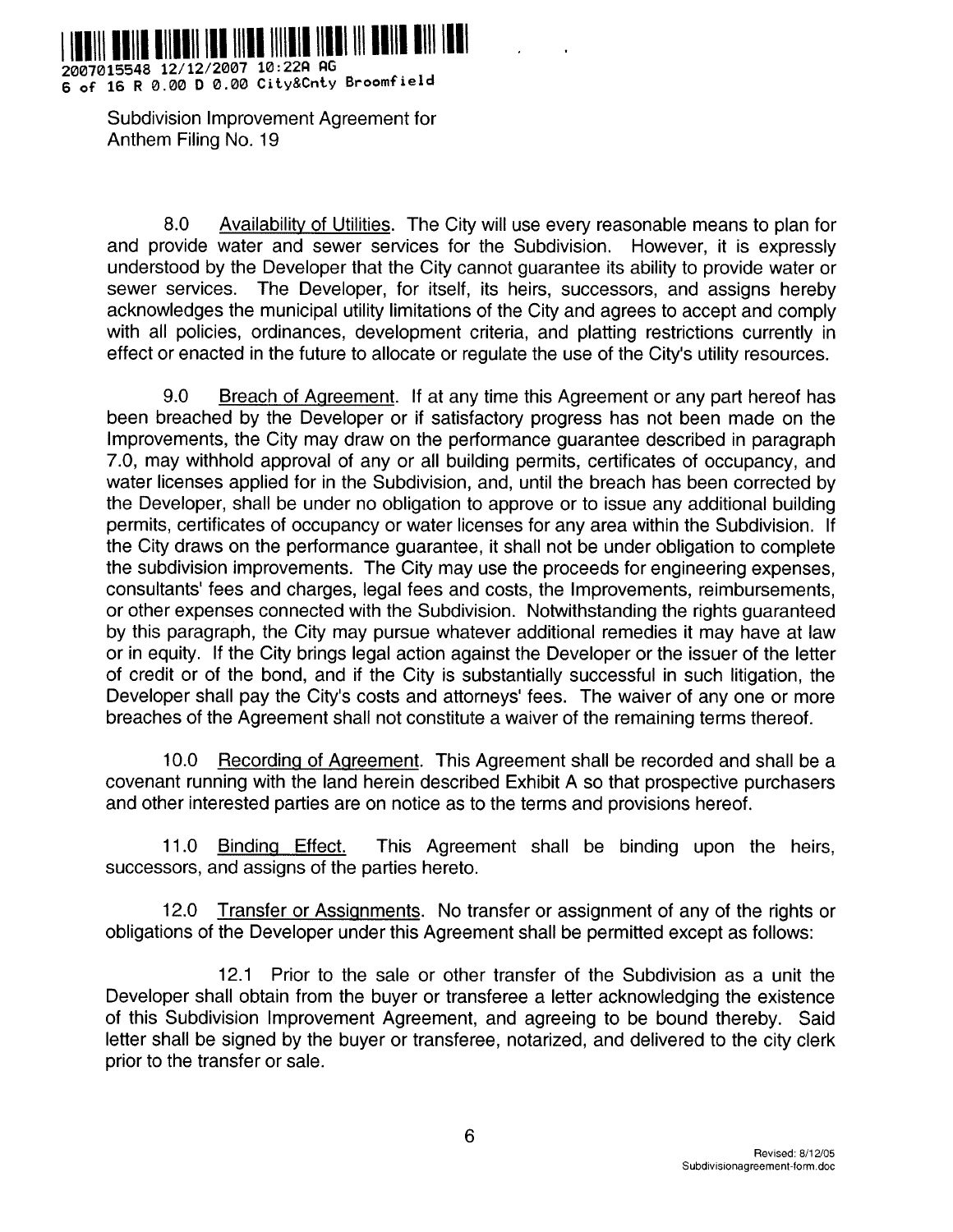

**2007015548 12/12/2007 10 :22P PG 6 of 16 R 0 .00 D 0 .00 City&Cnty Broomfiel <sup>d</sup>**

> Subdivision Improvement Agreement for Anthem Filing No. 19

8.0 Availability of Utilities. The City will use every reasonable means to plan for and provide water and sewer services for the Subdivision. However, it is expressly understood by the Developer that the City cannot guarantee its ability to provide water or sewer services. The Developer, for itself, its heirs, successors, and assigns hereby acknowledges the municipal utility limitations of the City and agrees to accept and comply with all policies, ordinances, development criteria, and platting restrictions currently in effect or enacted in the future to allocate or regulate the use of the City's utility resources .

9.0 Breach of Agreement. If at any time this Agreement or any part hereof has been breached by the Developer or if satisfactory progress has not been made on the Improvements, the City may draw on the performance guarantee described in paragraph 7 .0, may withhold approval of any or all building permits, certificates of occupancy, and water licenses applied for in the Subdivision, and, until the breach has been corrected by the Developer, shall be under no obligation to approve or to issue any additional building permits, certificates of occupancy or water licenses for any area within the Subdivision. If the City draws on the performance guarantee, it shall not be under obligation to complete the subdivision improvements. The City may use the proceeds for engineering expenses, consultants' fees and charges, legal fees and costs, the Improvements, reimbursements, or other expenses connected with the Subdivision. Notwithstanding the rights guaranteed by this paragraph, the City may pursue whatever additional remedies it may have at law or in equity. If the City brings legal action against the Developer or the issuer of the letter of credit or of the bond, and if the City is substantially successful in such litigation, the Developer shall pay the City's costs and attorneys' fees. The waiver of any one or more breaches of the Agreement shall not constitute a waiver of the remaining terms thereof.

10.0 Recording of Agreement. This Agreement shall be recorded and shall be a covenant running with the land herein described Exhibit A so that prospective purchasers and other interested parties are on notice as to the terms and provisions hereof.

11.0 Binding Effect. This Agreement shall be binding upon the heirs, successors, and assigns of the parties hereto.

12.0 Transfer or Assignments. No transfer or assignment of any of the rights or obligations of the Developer under this Agreement shall be permitted except as follows :

12.1 Prior to the sale or other transfer of the Subdivision as a unit the Developer shall obtain from the buyer or transferee a letter acknowledging the existence of this Subdivision Improvement Agreement, and agreeing to be bound thereby . Said letter shall be signed by the buyer or transferee, notarized, and delivered to the city clerk prior to the transfer or sale .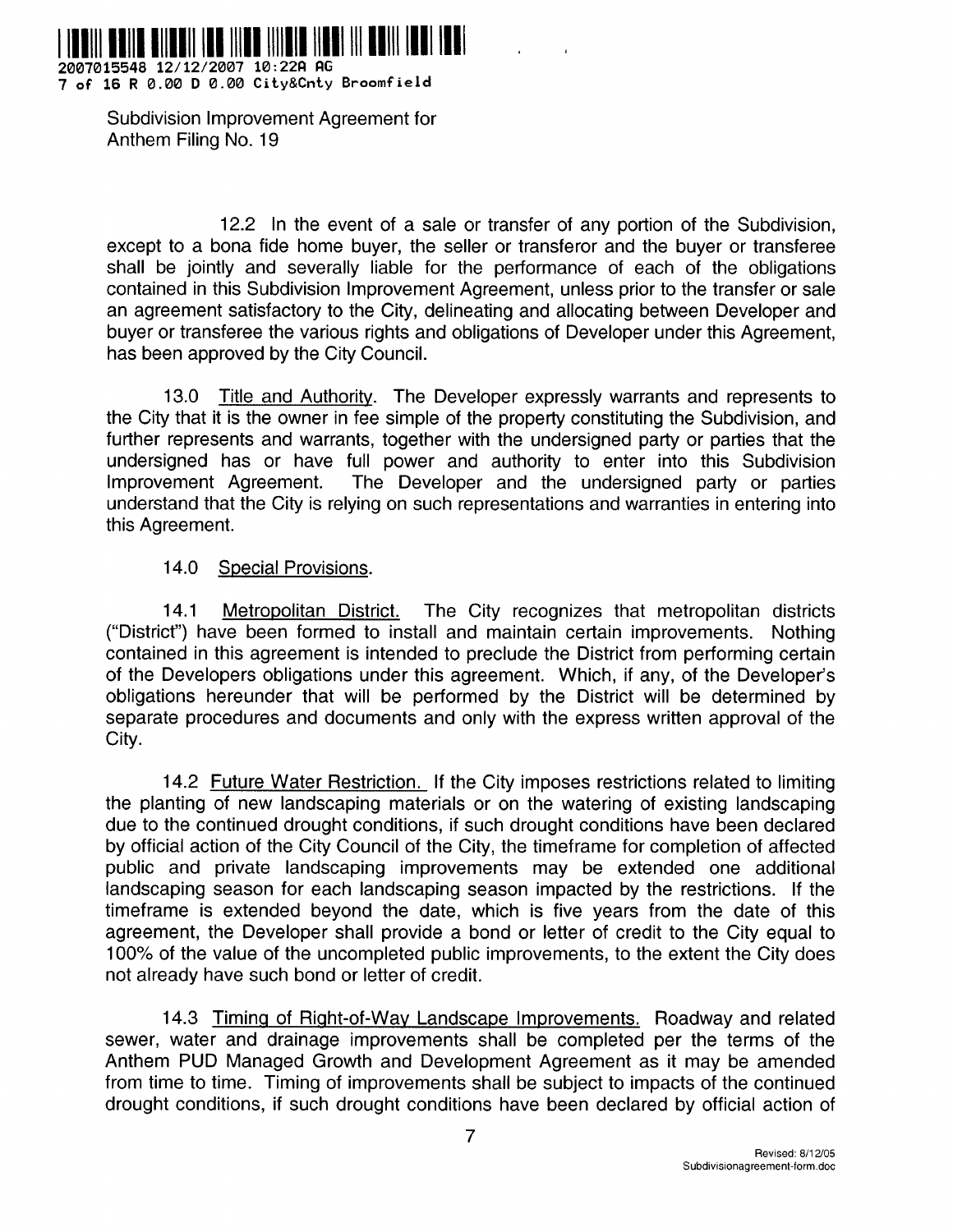

**2007015548 12/12/2007 10 :22fl PC 7 of 16 R 0 .00 D 0 .00 City&Cnty Broomfiel d**

> Subdivision Improvement Agreement for Anthem Filing No. 19

12.2 In the event of a sale or transfer of any portion of the Subdivision, except to a bona fide home buyer, the seller or transferor and the buyer or transferee shall be jointly and severally liable for the performance of each of the obligations contained in this Subdivision Improvement Agreement, unless prior to the transfer or sale an agreement satisfactory to the City, delineating and allocating between Developer and buyer or transferee the various rights and obligations of Developer under this Agreement, has been approved by the City Council.

13.0 Title and Authority. The Developer expressly warrants and represents to the City that it is the owner in fee simple of the property constituting the Subdivision, and further represents and warrants, together with the undersigned party or parties that the undersigned has or have full power and authority to enter into this Subdivision Improvement Agreement. The Developer and the undersigned party or parties understand that the City is relying on such representations and warranties in entering into this Agreement.

## 14.0 Special Provisions.

14.1 Metropolitan District. The City recognizes that metropolitan districts ("District") have been formed to install and maintain certain improvements. Nothing contained in this agreement is intended to preclude the District from performing certain of the Developers obligations under this agreement. Which, if any, of the Developer's obligations hereunder that will be performed by the District will be determined by separate procedures and documents and only with the express written approval of the City.

14.2 Future Water Restriction. If the City imposes restrictions related to limiting the planting of new landscaping materials or on the watering of existing landscaping due to the continued drought conditions, if such drought conditions have been declared by official action of the City Council of the City, the timeframe for completion of affected public and private landscaping improvements may be extended one additional landscaping season for each landscaping season impacted by the restrictions. If the timeframe is extended beyond the date, which is five years from the date of this agreement, the Developer shall provide a bond or letter of credit to the City equal to 100% of the value of the uncompleted public improvements, to the extent the City does not already have such bond or letter of credit.

14.3 Timing of Right-of-Way Landscape Improvements. Roadway and related sewer, water and drainage improvements shall be completed per the terms of the Anthem PUD Managed Growth and Development Agreement as it may be amended from time to time. Timing of improvements shall be subject to impacts of the continued drought conditions, if such drought conditions have been declared by official action of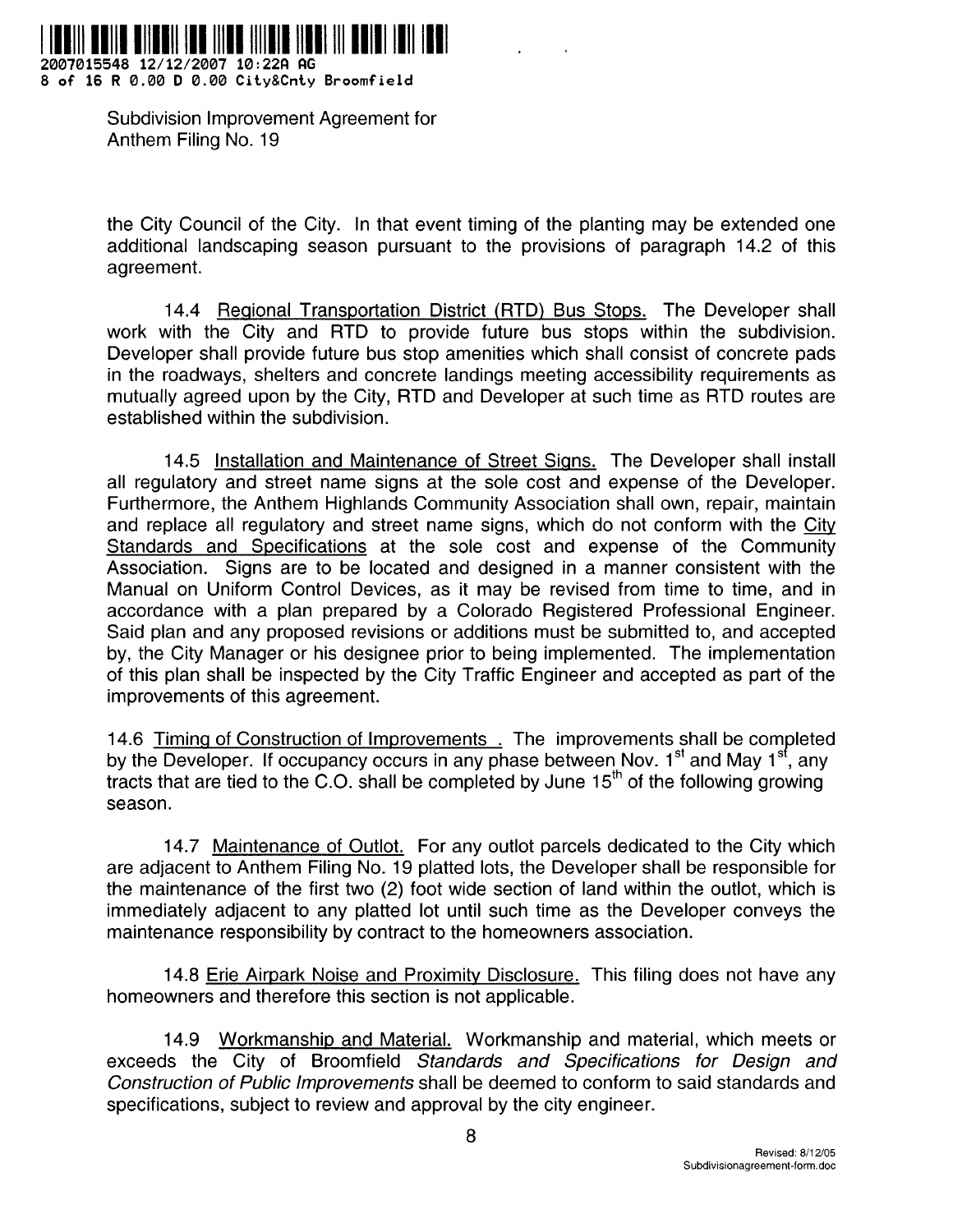

**2007015548 12/12/2007 10 :22fl AG 8 of 16 R 0 .00 D 0 .00 City&Cnty Broomfiel d**

> Subdivision Improvement Agreement for Anthem Filing No. 19

the City Council of the City. In that event timing of the planting may be extended one additional landscaping season pursuant to the provisions of paragraph 14 .2 of this agreement.

14.4 Regional Transportation District (RTD) Bus Stops. The Developer shall work with the City and RTD to provide future bus stops within the subdivision. Developer shall provide future bus stop amenities which shall consist of concrete pads in the roadways, shelters and concrete landings meeting accessibility requirements as mutually agreed upon by the City, RTD and Developer at such time as RTD routes are established within the subdivision.

14.5 Installation and Maintenance of Street Signs. The Developer shall install all regulatory and street name signs at the sole cost and expense of the Developer. Furthermore, the Anthem Highlands Community Association shall own, repair, maintain and replace all regulatory and street name signs, which do not conform with the City Standards and Specifications at the sole cost and expense of the Community Association. Signs are to be located and designed in a manner consistent with the Manual on Uniform Control Devices, as it may be revised from time to time, and in accordance with a plan prepared by a Colorado Registered Professional Engineer. Said plan and any proposed revisions or additions must be submitted to, and accepted by, the City Manager or his designee prior to being implemented . The implementation of this plan shall be inspected by the City Traffic Engineer and accepted as part of the improvements of this agreement.

14.6 Timing of Construction of Improvements . The improvements shall be completed by the Developer. If occupancy occurs in any phase between Nov.  $1<sup>st</sup>$  and May  $1<sup>st</sup>$ , any tracts that are tied to the C.O. shall be completed by June  $15<sup>th</sup>$  of the following growing season.

14.7 Maintenance of Outlot. For any outlot parcels dedicated to the City which are adjacent to Anthem Filing No . 19 platted lots, the Developer shall be responsible for the maintenance of the first two (2) foot wide section of land within the outlot, which is immediately adjacent to any platted lot until such time as the Developer conveys the maintenance responsibility by contract to the homeowners association .

14.8 Erie Airpark Noise and Proximity Disclosure. This filing does not have any homeowners and therefore this section is not applicable .

14.9 Workmanship and Material. Workmanship and material, which meets or exceeds the City of Broomfield Standards and Specifications for Design and Construction of Public Improvements shall be deemed to conform to said standards and specifications, subject to review and approval by the city engineer.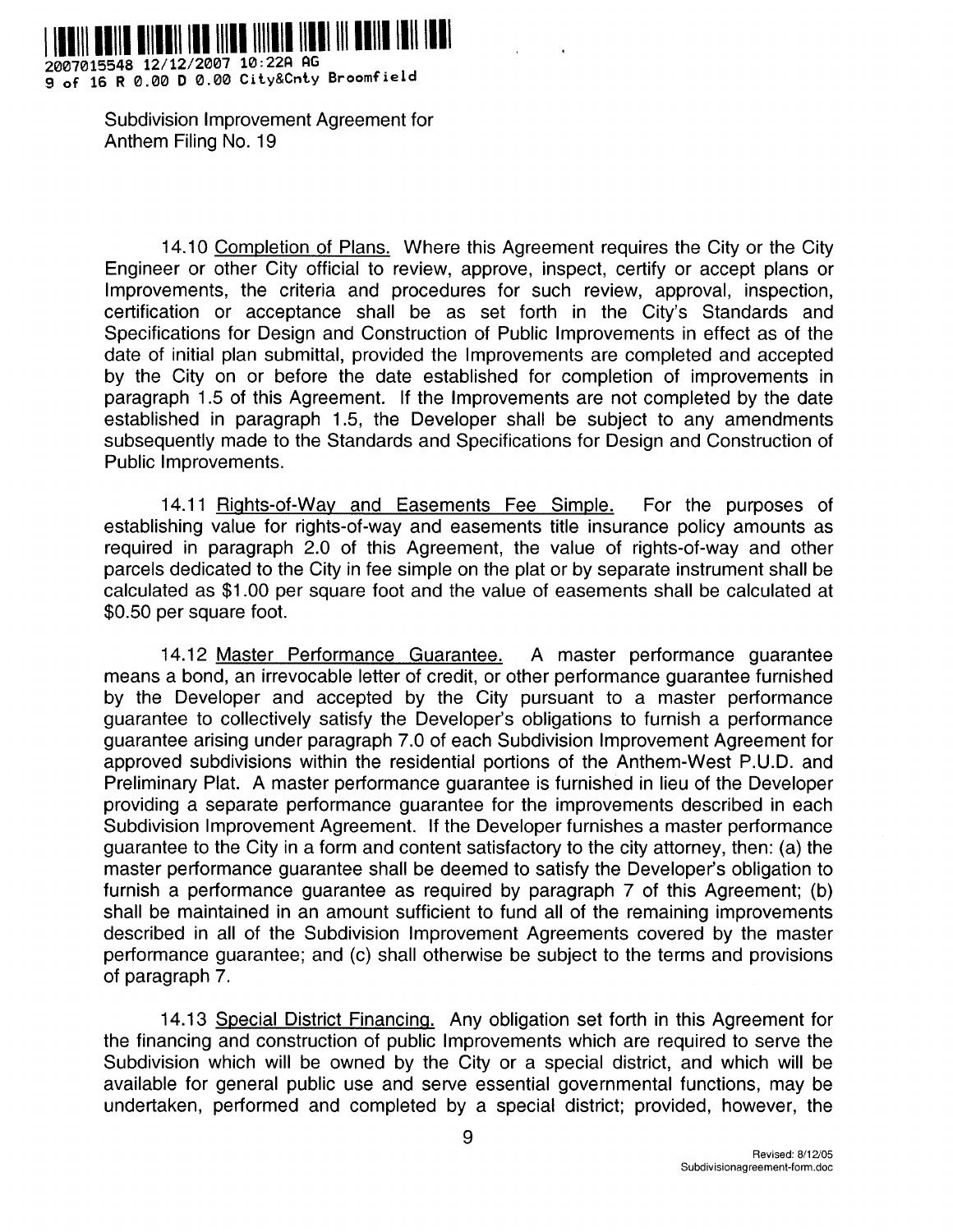

**2007015548 12/12/2007 10 :22fl G 9 of 16 R 0 .00 D 0 .00 City&Cnty Broomfiel d**

> Subdivision Improvement Agreement for Anthem Filing No. 19

14.10 Completion of Plans. Where this Agreement requires the City or the City Engineer or other City official to review, approve, inspect, certify or accept plans or Improvements, the criteria and procedures for such review, approval, inspection, certification or acceptance shall be as set forth in the City's Standards and Specifications for Design and Construction of Public Improvements in effect as of the date of initial plan submittal, provided the Improvements are completed and accepted by the City on or before the date established for completion of improvements in paragraph 1 .5 of this Agreement. If the Improvements are not completed by the date established in paragraph 1.5, the Developer shall be subject to any amendments subsequently made to the Standards and Specifications for Design and Construction of Public Improvements.

14 .11 Rights-of-Way and Easements Fee Simple. For the purposes of establishing value for rights-of-way and easements title insurance policy amounts as required in paragraph 2.0 of this Agreement, the value of rights-of-way and other parcels dedicated to the City in fee simple on the plat or by separate instrument shall be calculated as \$1 .00 per square foot and the value of easements shall be calculated at \$0 .50 per square foot.

14 .12 Master Performance Guarantee . A master performance guarantee means a bond, an irrevocable letter of credit, or other performance guarantee furnished by the Developer and accepted by the City pursuant to a master performance guarantee to collectively satisfy the Developer's obligations to furnish a performance guarantee arising under paragraph 7 .0 of each Subdivision Improvement Agreement for approved subdivisions within the residential portions of the Anthem-West P.U.D. and Preliminary Plat. A master performance guarantee is furnished in lieu of the Developer providing a separate performance guarantee for the improvements described in each Subdivision Improvement Agreement. If the Developer furnishes a master performance guarantee to the City in a form and content satisfactory to the city attorney, then: (a) the master performance guarantee shall be deemed to satisfy the Developer's obligation to furnish a performance guarantee as required by paragraph  $7$  of this Agreement; (b) shall be maintained in an amount sufficient to fund all of the remaining improvements described in all of the Subdivision Improvement Agreements covered by the master performance guarantee; and (c) shall otherwise be subject to the terms and provisions of paragraph 7.

14.13 Special District Financing. Any obligation set forth in this Agreement for the financing and construction of public Improvements which are required to serve the Subdivision which will be owned by the City or a special district, and which will be available for general public use and serve essential governmental functions, may be undertaken, performed and completed by a special district; provided, however, the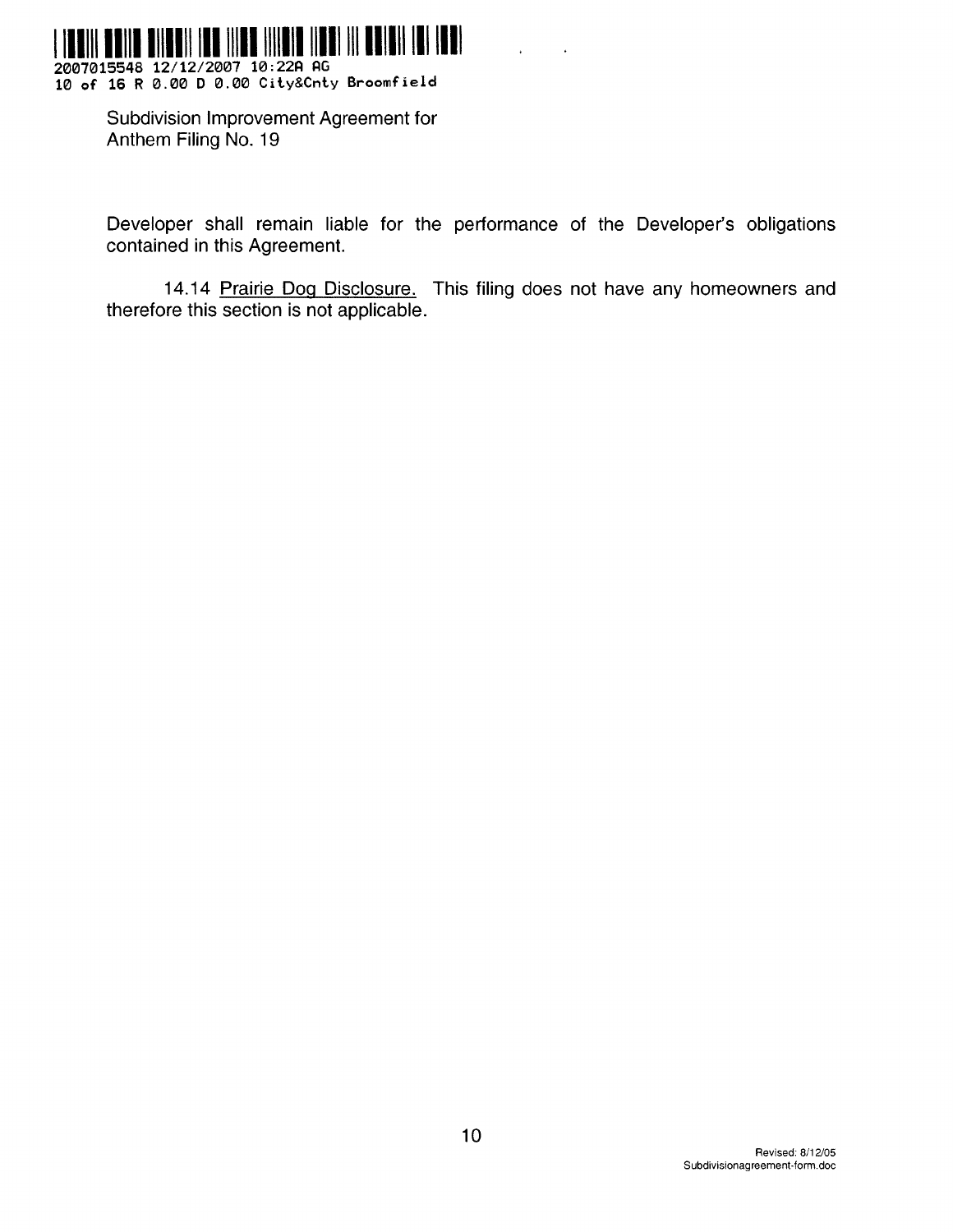

2007015548 12/12/2007 10:22A AG<br>10 of 16 R 0.00 D 0.00 City&Cnty Broomfield

Subdivision Improvement Agreement for Anthem Filing No. 19

Developer shall remain liable for the performance of the Developer's obligations contained in this Agreement.

14.14 Prairie Dog Disclosure. This filing does not have any homeowners and therefore this section is not applicable.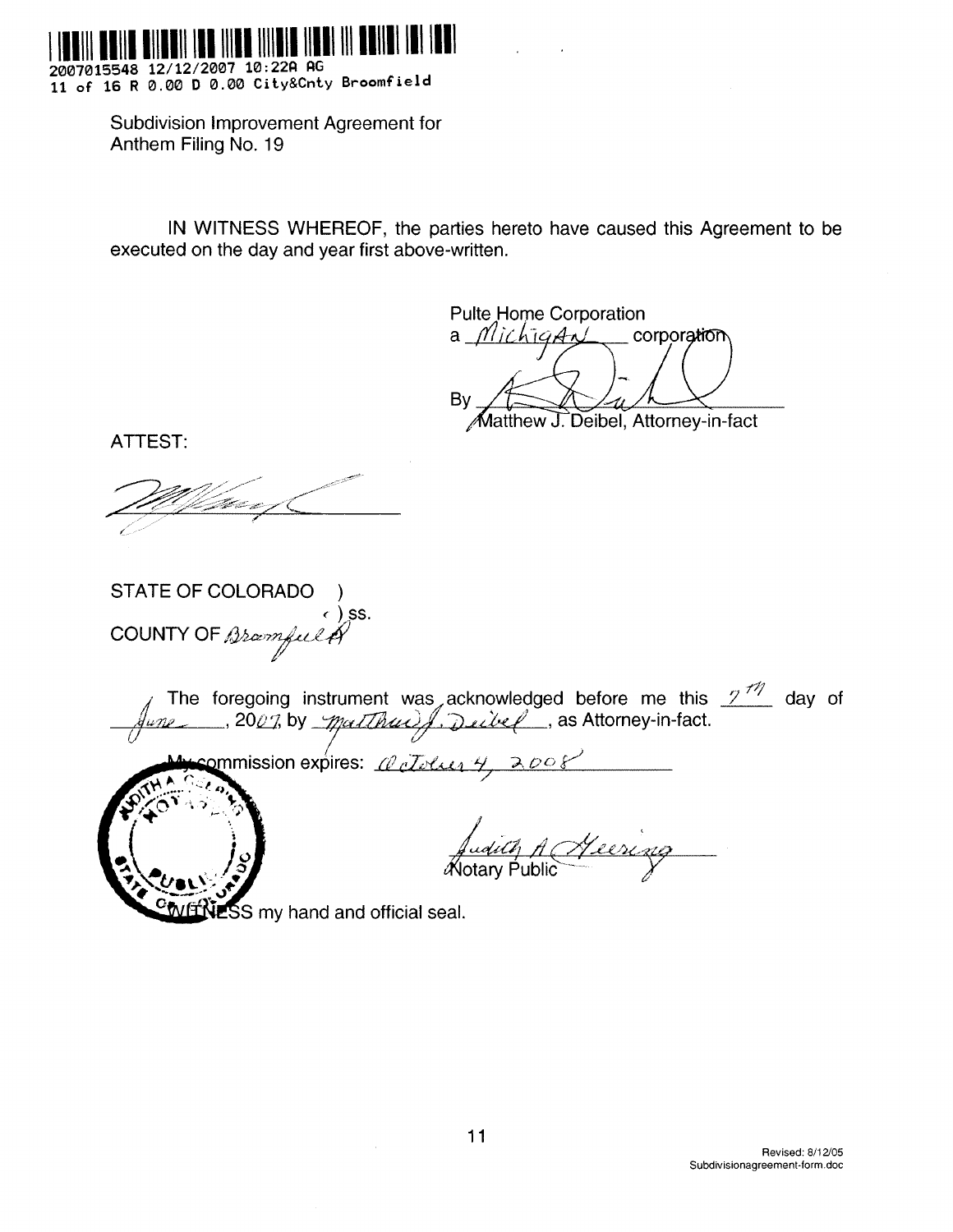

2007015548 12/12/2007 10:22A AG 11 of 16 R 0.00 D 0.00 City&Cnty Broomfield

> Subdivision Improvement Agreement for Anthem Filing No. 19

IN WITNESS WHEREOF, the parties hereto have caused this Agreement to be executed on the day and year first above-written.

**Pulte Home Corporation** corporation a *MichigAnl* By Matthew J. Deibel, Attorney-in-fact

ATTEST:

STATE OF COLORADO ∈) ss. COUNTY OF Bramfult

commission expires: *al cloum 4, 200* 



dict, A Heering

**ESS** my hand and official seal.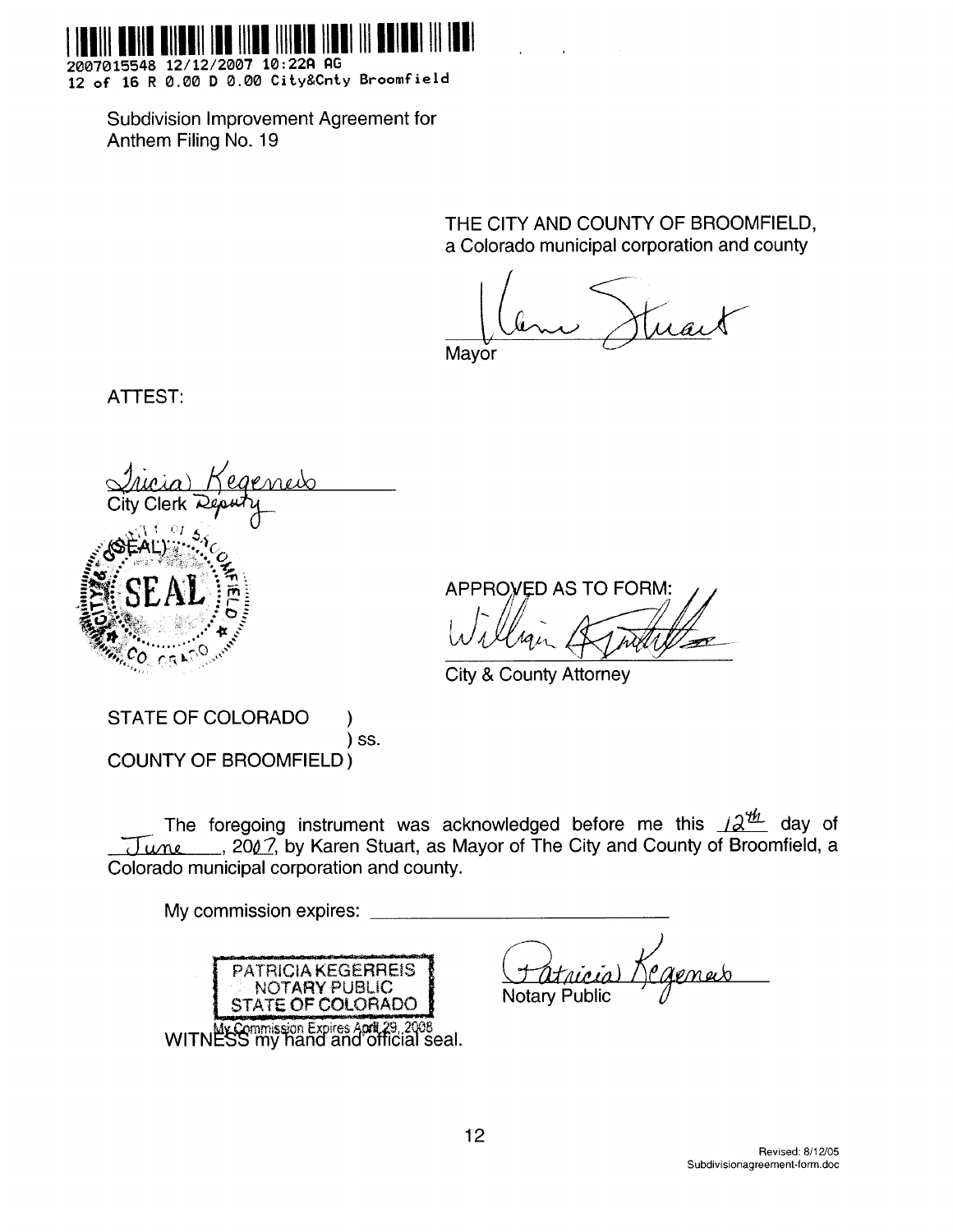

2007015548 12/12/2007 10:22A AG 12 of 16 R 0.00 D 0.00 City&Cnty Broomfield

Subdivision Improvement Agreement for Anthem Filing No. 19

> THE CITY AND COUNTY OF BROOMFIELD, a Colorado municipal corporation and county

Mavor

ATTEST:

**APPROVED AS TO FORM:** 

**City & County Attorney** 

**STATE OF COLORADO** ) SS. **COUNTY OF BROOMFIELD)** 

The foregoing instrument was acknowledged before me this  $12^{\frac{u}{2}}$  day of June \_\_\_, 2007, by Karen Stuart, as Mayor of The City and County of Broomfield, a Colorado municipal corporation and county.

My commission expires: \_ **PATRICIA KEGERREIS** NOTARY PUBLIC **Notary Public** STATE OF COLORADO WITNESS my hand and official seal.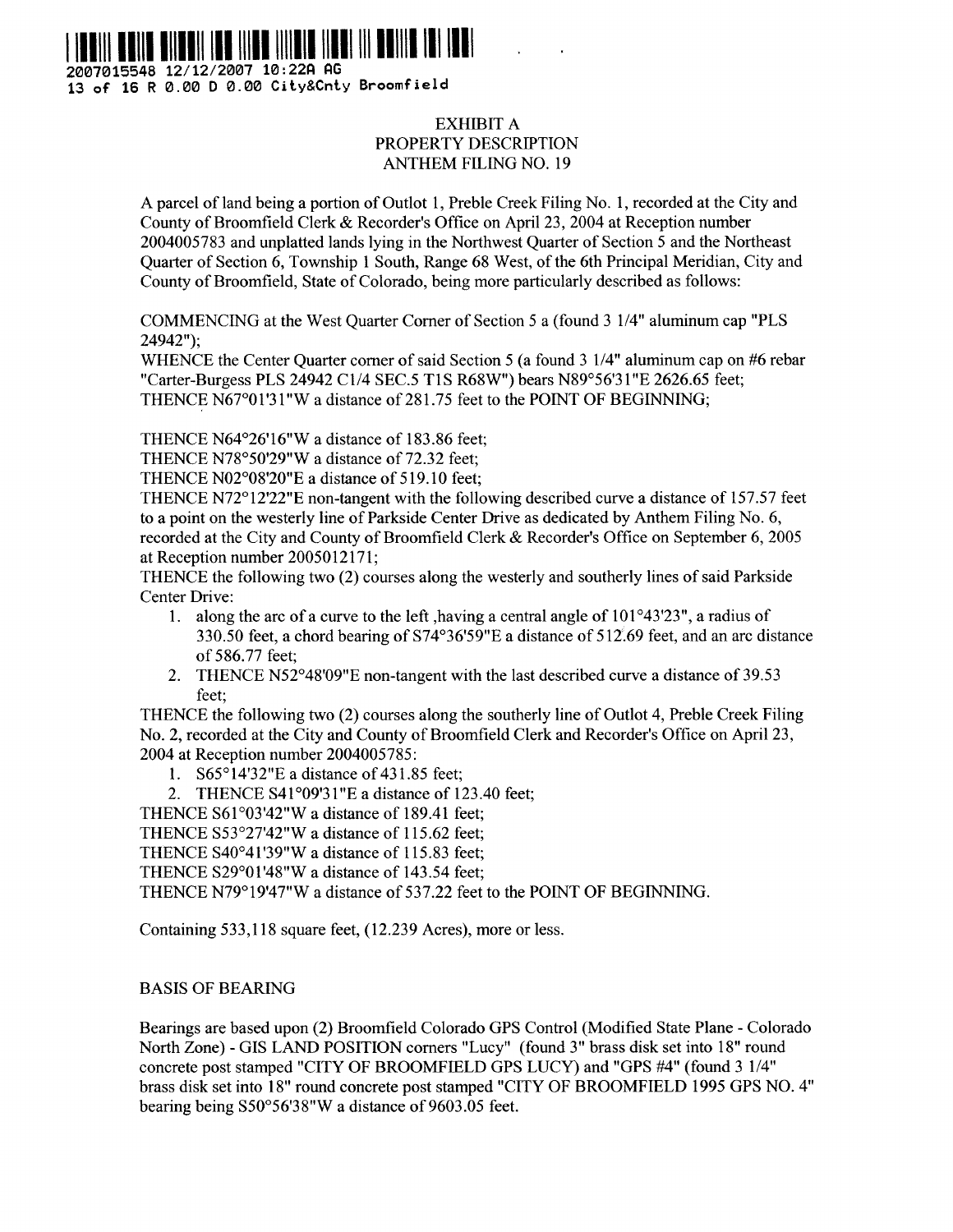

**2007015548 12/12/2007 10 :22fl AG 13 of 16 R 0 .00 D 0 .00 City&Cnty Broomfiel d**

## EXHIBIT A PROPERTY DESCRIPTION ANTHEM FILING NO. 19

A parcel of land being a portion of Outlot 1, Preble Creek Filing No . 1, recorded at the City and County of Broonifield Clerk & Recorder's Office on April 23, 2004 at Reception number 2004005783 and unplatted lands lying in the Northwest Quarter of Section *5* and the Northeast Quarter of Section 6, Township I South, Range 68 West, of the 6th Principal Meridian, City and County of Broomfield, State of Colorado, being more particularly described as follows :

COMMENCING at the West Quarter Corner of Section *5* a (found 3 *1/4"* aluminum cap "PLS 24942");

WHENCE the Center Quarter corner of said Section *5* (a found 3 1/4" aluminum cap on #6 rebar "Carter-Burgess PLS 24942 C1/4 SEC.5 TIS R68W") bears *N89°56'31"E 2626 .65* feet; THENCE N67°0 1 '31 "W a distance of 281 .75 feet to the POINT OF BEGINNING;

THENCE N64°26'16"W a distance of 183 .86 feet;

THENCE N78°50'29"W a distance of 72.32 feet;

THENCE N02°08'20"E a distance of 5 19.10 feet;

THENCE N72°12'22"E non-tangent with the following described curve a distance of 157 .57 feet to a point on the westerly line of Parkside Center Drive as dedicated by Anthem Filing No . 6, recorded at the City and County of Broomfield Clerk & Recorder's Office on September 6, 2005 at Reception number 2005012171;

THENCE the following two (2) courses along the westerly and southerly lines of said Parkside Center Drive:

- <sup>1</sup> . along the arc of a curve to the left ,having a central angle of 101°43'23", a radius of 330.50 feet, a chord bearing of 574°36'59"E a distance of 512 .69 feet, and an arc distance of 586.77 feet;
- 2 . THENCE N52°48'09"E non-tangent with the last described curve a distance of 39 .53 feet:

THENCE the following two (2) courses along the southerly line of Outlot 4, Preble Creek Filing No. 2, recorded at the City and County of Broomfield Clerk and Recorder's Office on April 23, 2004 at Reception number 2004005785 :

1. S65°14'32"E a distance of 431.85 feet;

2. THENCE S41°09'31"E a distance of 123.40 feet;

THENCE S61°03'42"W a distance of 189 .41 feet;

THENCE S53°27'42"W a distance of 115 .62 feet;

THENCE S40°41'39"W a distance of 115 .83 feet;

THENCE S29°01'48"W a distance of 143 .54 feet;

THENCE N79°19'47"W a distance of 537 .22 feet to the POINT OF BEGINNING .

Containing 533,118 square feet, (12.239 Acres), more or less.

#### BASIS OF BEARING

Bearings are based upon (2) Broomlield Colorado GPS Control (Modified State Plane - Colorado North Zone) - GIS LAND POS1TION corners "Lucy" (found 3" brass disk set into 18" round concrete post stamped "CITY OF BROOMFIELD GPS LUCY) and "GPS #4" (found 3 1/4" brass disk set into 18" round concrete post stamped "CITY OF BROOMFIELD 1995 GPS NO. 4" bearing being S50°56'38"W a distance of 9603 .05 feet.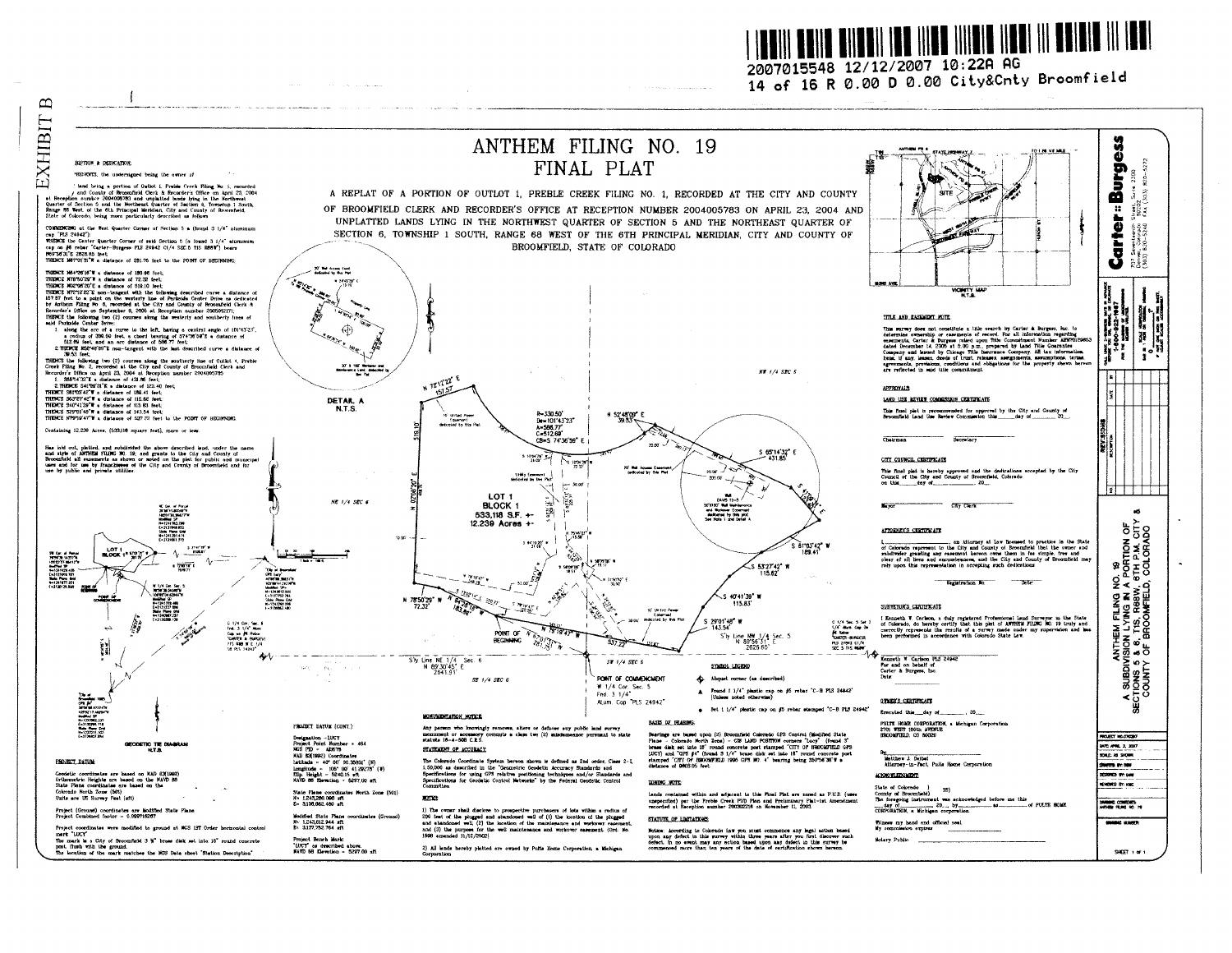<u> Innii Aniin Ailmhi Inn Iilaa iilah ilmain in ahinin III Am</u>

2007015548 12/12/2007 10:22A AG 14 of 16 R 0.00 D 0.00 City&Cnty Broomfield

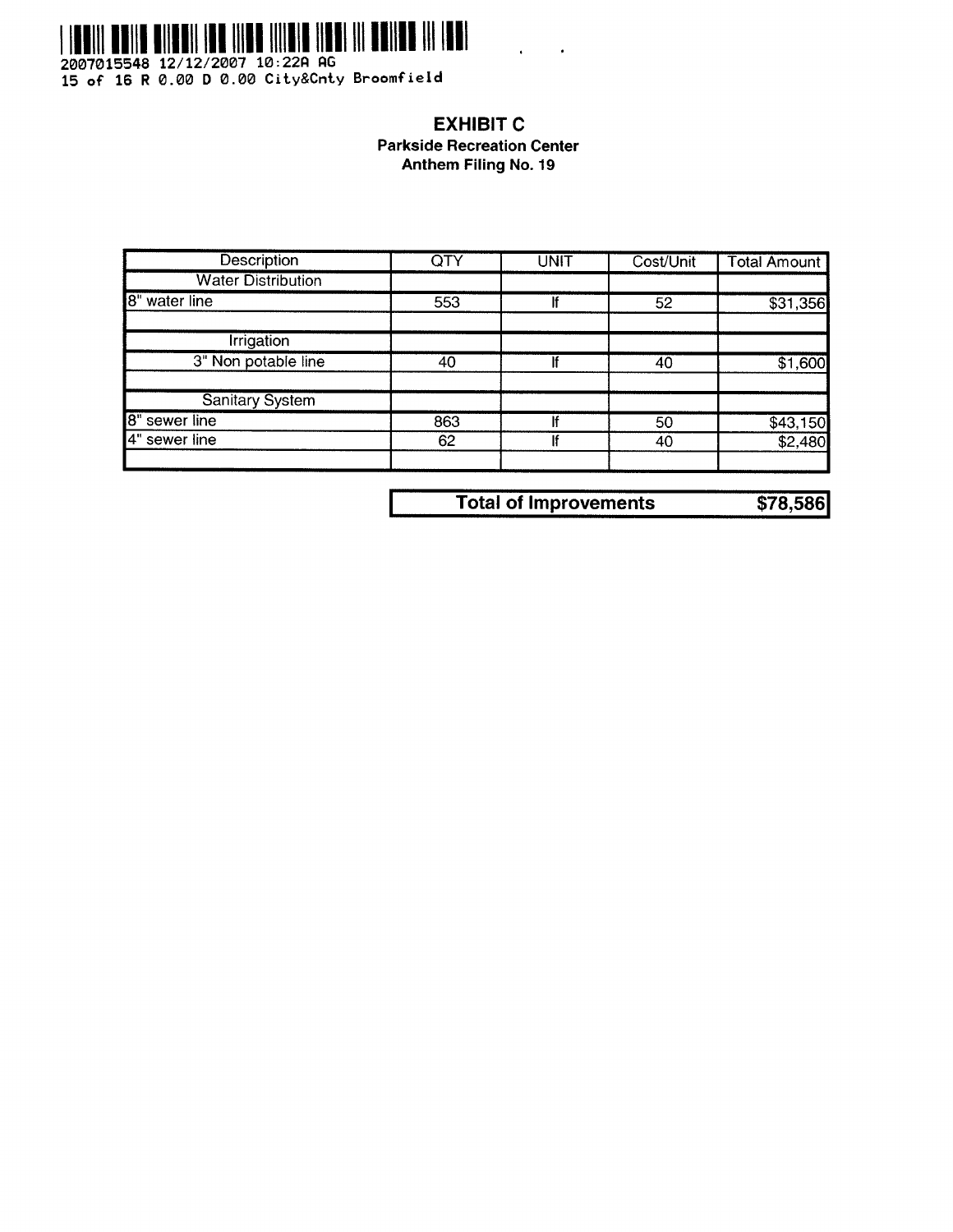

2007015548 12/12/2007 10:22A AG<br>15 of 16 R 0.00 D 0.00 City&Cnty Broomfield

## **EXHIBIT C Parkside Recreation Center** Anthem Filing No. 19

| QTY | <b>UNIT</b> | Cost/Unit | <b>Total Amount</b>      |
|-----|-------------|-----------|--------------------------|
|     |             |           |                          |
| 553 |             | 52        | \$31,356                 |
|     |             |           |                          |
| 40  |             | 40        | \$1,600                  |
|     |             |           |                          |
| 863 |             | 50        |                          |
| 62  |             | 40        | $\frac{1643,150}{2,480}$ |
|     |             |           |                          |

| <b>Total of Improvements</b> | \$78,586 |
|------------------------------|----------|